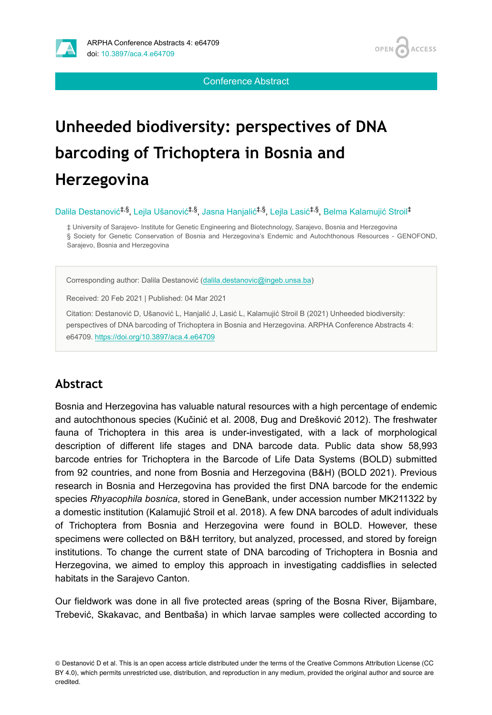

Conference Abstract

# **Unheeded biodiversity: perspectives of DNA barcoding of Trichoptera in Bosnia and Herzegovina**

Dalila Destanović<sup>‡,§</sup>, Lejla Ušanović<sup>‡,§</sup>, Jasna Hanjalić<sup>‡,§</sup>, Lejla Lasić<sup>‡,§</sup>, Belma Kalamujić Stroil<sup>‡</sup>

‡ University of Sarajevo- Institute for Genetic Engineering and Biotechnology, Sarajevo, Bosnia and Herzegovina § Society for Genetic Conservation of Bosnia and Herzegovina's Endemic and Autochthonous Resources - GENOFOND, Sarajevo, Bosnia and Herzegovina

Corresponding author: Dalila Destanović ([dalila.destanovic@ingeb.unsa.ba\)](mailto:dalila.destanovic@ingeb.unsa.ba)

Received: 20 Feb 2021 | Published: 04 Mar 2021

Citation: Destanović D, Ušanović L, Hanjalić J, Lasić L, Kalamujić Stroil B (2021) Unheeded biodiversity: perspectives of DNA barcoding of Trichoptera in Bosnia and Herzegovina. ARPHA Conference Abstracts 4: e64709.<https://doi.org/10.3897/aca.4.e64709>

## **Abstract**

Bosnia and Herzegovina has valuable natural resources with a high percentage of endemic and autochthonous species (Kučinić et al. 2008, Đug and Drešković 2012). The freshwater fauna of Trichoptera in this area is under-investigated, with a lack of morphological description of different life stages and DNA barcode data. Public data show 58,993 barcode entries for Trichoptera in the Barcode of Life Data Systems (BOLD) submitted from 92 countries, and none from Bosnia and Herzegovina (B&H) (BOLD 2021). Previous research in Bosnia and Herzegovina has provided the first DNA barcode for the endemic species *Rhyacophila bosnica*, stored in GeneBank, under accession number MK211322 by a domestic institution (Kalamujić Stroil et al. 2018). A few DNA barcodes of adult individuals of Trichoptera from Bosnia and Herzegovina were found in BOLD. However, these specimens were collected on B&H territory, but analyzed, processed, and stored by foreign institutions. To change the current state of DNA barcoding of Trichoptera in Bosnia and Herzegovina, we aimed to employ this approach in investigating caddisflies in selected habitats in the Sarajevo Canton.

Our fieldwork was done in all five protected areas (spring of the Bosna River, Bijambare, Trebević, Skakavac, and Bentbaša) in which larvae samples were collected according to

<sup>©</sup> Destanović D et al. This is an open access article distributed under the terms of the Creative Commons Attribution License (CC BY 4.0), which permits unrestricted use, distribution, and reproduction in any medium, provided the original author and source are credited.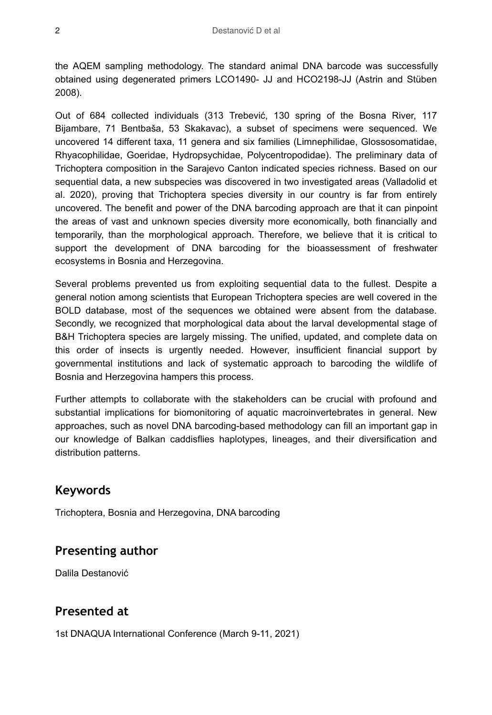the AQEM sampling methodology. The standard animal DNA barcode was successfully obtained using degenerated primers LCO1490- JJ and HCO2198-JJ (Astrin and Stüben 2008).

Out of 684 collected individuals (313 Trebević, 130 spring of the Bosna River, 117 Bijambare, 71 Bentbaša, 53 Skakavac), a subset of specimens were sequenced. We uncovered 14 different taxa, 11 genera and six families (Limnephilidae, Glossosomatidae, Rhyacophilidae, Goeridae, Hydropsychidae, Polycentropodidae). The preliminary data of Trichoptera composition in the Sarajevo Canton indicated species richness. Based on our sequential data, a new subspecies was discovered in two investigated areas (Valladolid et al. 2020), proving that Trichoptera species diversity in our country is far from entirely uncovered. The benefit and power of the DNA barcoding approach are that it can pinpoint the areas of vast and unknown species diversity more economically, both financially and temporarily, than the morphological approach. Therefore, we believe that it is critical to support the development of DNA barcoding for the bioassessment of freshwater ecosystems in Bosnia and Herzegovina.

Several problems prevented us from exploiting sequential data to the fullest. Despite a general notion among scientists that European Trichoptera species are well covered in the BOLD database, most of the sequences we obtained were absent from the database. Secondly, we recognized that morphological data about the larval developmental stage of B&H Trichoptera species are largely missing. The unified, updated, and complete data on this order of insects is urgently needed. However, insufficient financial support by governmental institutions and lack of systematic approach to barcoding the wildlife of Bosnia and Herzegovina hampers this process.

Further attempts to collaborate with the stakeholders can be crucial with profound and substantial implications for biomonitoring of aquatic macroinvertebrates in general. New approaches, such as novel DNA barcoding-based methodology can fill an important gap in our knowledge of Balkan caddisflies haplotypes, lineages, and their diversification and distribution patterns.

#### **Keywords**

Trichoptera, Bosnia and Herzegovina, DNA barcoding

### **Presenting author**

Dalila Destanović

### **Presented at**

1st DNAQUA International Conference (March 9-11, 2021)